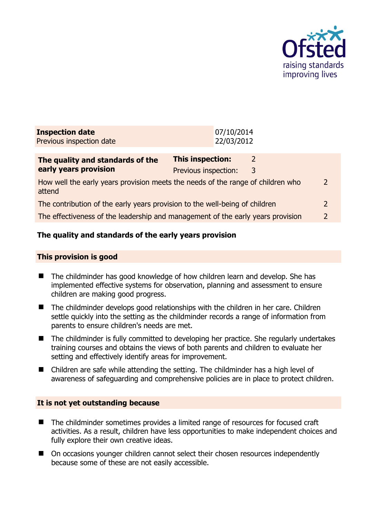

| <b>Inspection date</b><br>Previous inspection date                                        |                                                 | 07/10/2014<br>22/03/2012 |               |                |
|-------------------------------------------------------------------------------------------|-------------------------------------------------|--------------------------|---------------|----------------|
| The quality and standards of the<br>early years provision                                 | <b>This inspection:</b><br>Previous inspection: |                          | 2<br>3        |                |
| How well the early years provision meets the needs of the range of children who<br>attend |                                                 |                          |               | $\overline{2}$ |
| The contribution of the early years provision to the well-being of children               |                                                 |                          | $\mathcal{L}$ |                |
| The effectiveness of the leadership and management of the early years provision           |                                                 |                          |               | $\overline{2}$ |
|                                                                                           |                                                 |                          |               |                |

# **The quality and standards of the early years provision**

#### **This provision is good**

- The childminder has good knowledge of how children learn and develop. She has implemented effective systems for observation, planning and assessment to ensure children are making good progress.
- The childminder develops good relationships with the children in her care. Children settle quickly into the setting as the childminder records a range of information from parents to ensure children's needs are met.
- The childminder is fully committed to developing her practice. She regularly undertakes training courses and obtains the views of both parents and children to evaluate her setting and effectively identify areas for improvement.
- Children are safe while attending the setting. The childminder has a high level of awareness of safeguarding and comprehensive policies are in place to protect children.

#### **It is not yet outstanding because**

- The childminder sometimes provides a limited range of resources for focused craft activities. As a result, children have less opportunities to make independent choices and fully explore their own creative ideas.
- On occasions younger children cannot select their chosen resources independently because some of these are not easily accessible.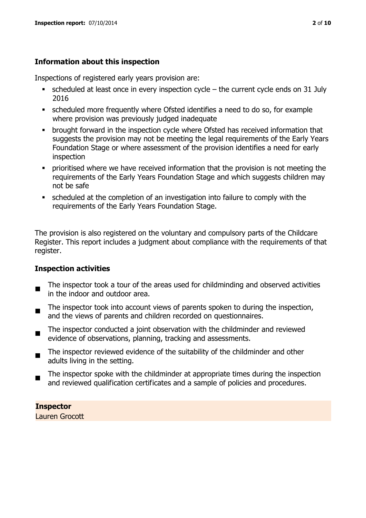# **Information about this inspection**

Inspections of registered early years provision are:

- $\bullet$  scheduled at least once in every inspection cycle the current cycle ends on 31 July 2016
- scheduled more frequently where Ofsted identifies a need to do so, for example where provision was previously judged inadequate
- **•** brought forward in the inspection cycle where Ofsted has received information that suggests the provision may not be meeting the legal requirements of the Early Years Foundation Stage or where assessment of the provision identifies a need for early inspection
- **•** prioritised where we have received information that the provision is not meeting the requirements of the Early Years Foundation Stage and which suggests children may not be safe
- scheduled at the completion of an investigation into failure to comply with the requirements of the Early Years Foundation Stage.

The provision is also registered on the voluntary and compulsory parts of the Childcare Register. This report includes a judgment about compliance with the requirements of that register.

# **Inspection activities**

- п The inspector took a tour of the areas used for childminding and observed activities in the indoor and outdoor area.
- The inspector took into account views of parents spoken to during the inspection, and the views of parents and children recorded on questionnaires.
- The inspector conducted a joint observation with the childminder and reviewed evidence of observations, planning, tracking and assessments.
- $\blacksquare$ The inspector reviewed evidence of the suitability of the childminder and other adults living in the setting.
- The inspector spoke with the childminder at appropriate times during the inspection and reviewed qualification certificates and a sample of policies and procedures.

**Inspector**  Lauren Grocott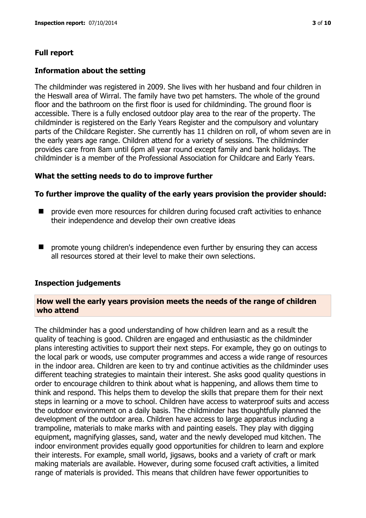# **Full report**

## **Information about the setting**

The childminder was registered in 2009. She lives with her husband and four children in the Heswall area of Wirral. The family have two pet hamsters. The whole of the ground floor and the bathroom on the first floor is used for childminding. The ground floor is accessible. There is a fully enclosed outdoor play area to the rear of the property. The childminder is registered on the Early Years Register and the compulsory and voluntary parts of the Childcare Register. She currently has 11 children on roll, of whom seven are in the early years age range. Children attend for a variety of sessions. The childminder provides care from 8am until 6pm all year round except family and bank holidays. The childminder is a member of the Professional Association for Childcare and Early Years.

### **What the setting needs to do to improve further**

### **To further improve the quality of the early years provision the provider should:**

- $\blacksquare$  provide even more resources for children during focused craft activities to enhance their independence and develop their own creative ideas
- promote young children's independence even further by ensuring they can access all resources stored at their level to make their own selections.

# **Inspection judgements**

#### **How well the early years provision meets the needs of the range of children who attend**

The childminder has a good understanding of how children learn and as a result the quality of teaching is good. Children are engaged and enthusiastic as the childminder plans interesting activities to support their next steps. For example, they go on outings to the local park or woods, use computer programmes and access a wide range of resources in the indoor area. Children are keen to try and continue activities as the childminder uses different teaching strategies to maintain their interest. She asks good quality questions in order to encourage children to think about what is happening, and allows them time to think and respond. This helps them to develop the skills that prepare them for their next steps in learning or a move to school. Children have access to waterproof suits and access the outdoor environment on a daily basis. The childminder has thoughtfully planned the development of the outdoor area. Children have access to large apparatus including a trampoline, materials to make marks with and painting easels. They play with digging equipment, magnifying glasses, sand, water and the newly developed mud kitchen. The indoor environment provides equally good opportunities for children to learn and explore their interests. For example, small world, jigsaws, books and a variety of craft or mark making materials are available. However, during some focused craft activities, a limited range of materials is provided. This means that children have fewer opportunities to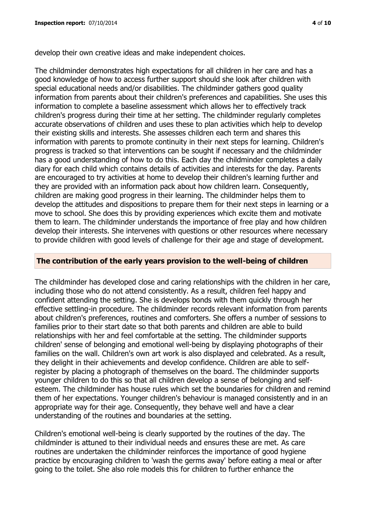develop their own creative ideas and make independent choices.

The childminder demonstrates high expectations for all children in her care and has a good knowledge of how to access further support should she look after children with special educational needs and/or disabilities. The childminder gathers good quality information from parents about their children's preferences and capabilities. She uses this information to complete a baseline assessment which allows her to effectively track children's progress during their time at her setting. The childminder regularly completes accurate observations of children and uses these to plan activities which help to develop their existing skills and interests. She assesses children each term and shares this information with parents to promote continuity in their next steps for learning. Children's progress is tracked so that interventions can be sought if necessary and the childminder has a good understanding of how to do this. Each day the childminder completes a daily diary for each child which contains details of activities and interests for the day. Parents are encouraged to try activities at home to develop their children's learning further and they are provided with an information pack about how children learn. Consequently, children are making good progress in their learning. The childminder helps them to develop the attitudes and dispositions to prepare them for their next steps in learning or a move to school. She does this by providing experiences which excite them and motivate them to learn. The childminder understands the importance of free play and how children develop their interests. She intervenes with questions or other resources where necessary to provide children with good levels of challenge for their age and stage of development.

## **The contribution of the early years provision to the well-being of children**

The childminder has developed close and caring relationships with the children in her care, including those who do not attend consistently. As a result, children feel happy and confident attending the setting. She is develops bonds with them quickly through her effective settling-in procedure. The childminder records relevant information from parents about children's preferences, routines and comforters. She offers a number of sessions to families prior to their start date so that both parents and children are able to build relationships with her and feel comfortable at the setting. The childminder supports children' sense of belonging and emotional well-being by displaying photographs of their families on the wall. Children's own art work is also displayed and celebrated. As a result, they delight in their achievements and develop confidence. Children are able to selfregister by placing a photograph of themselves on the board. The childminder supports younger children to do this so that all children develop a sense of belonging and selfesteem. The childminder has house rules which set the boundaries for children and remind them of her expectations. Younger children's behaviour is managed consistently and in an appropriate way for their age. Consequently, they behave well and have a clear understanding of the routines and boundaries at the setting.

Children's emotional well-being is clearly supported by the routines of the day. The childminder is attuned to their individual needs and ensures these are met. As care routines are undertaken the childminder reinforces the importance of good hygiene practice by encouraging children to 'wash the germs away' before eating a meal or after going to the toilet. She also role models this for children to further enhance the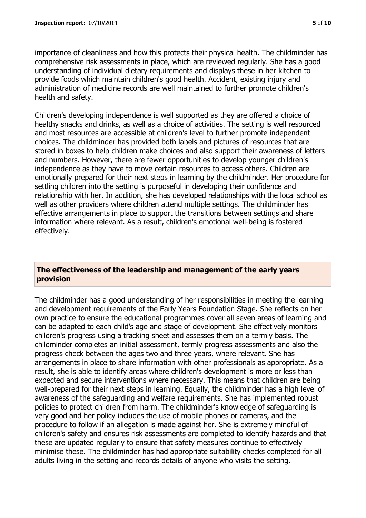importance of cleanliness and how this protects their physical health. The childminder has comprehensive risk assessments in place, which are reviewed regularly. She has a good understanding of individual dietary requirements and displays these in her kitchen to provide foods which maintain children's good health. Accident, existing injury and administration of medicine records are well maintained to further promote children's health and safety.

Children's developing independence is well supported as they are offered a choice of healthy snacks and drinks, as well as a choice of activities. The setting is well resourced and most resources are accessible at children's level to further promote independent choices. The childminder has provided both labels and pictures of resources that are stored in boxes to help children make choices and also support their awareness of letters and numbers. However, there are fewer opportunities to develop younger children's independence as they have to move certain resources to access others. Children are emotionally prepared for their next steps in learning by the childminder. Her procedure for settling children into the setting is purposeful in developing their confidence and relationship with her. In addition, she has developed relationships with the local school as well as other providers where children attend multiple settings. The childminder has effective arrangements in place to support the transitions between settings and share information where relevant. As a result, children's emotional well-being is fostered effectively.

### **The effectiveness of the leadership and management of the early years provision**

The childminder has a good understanding of her responsibilities in meeting the learning and development requirements of the Early Years Foundation Stage. She reflects on her own practice to ensure the educational programmes cover all seven areas of learning and can be adapted to each child's age and stage of development. She effectively monitors children's progress using a tracking sheet and assesses them on a termly basis. The childminder completes an initial assessment, termly progress assessments and also the progress check between the ages two and three years, where relevant. She has arrangements in place to share information with other professionals as appropriate. As a result, she is able to identify areas where children's development is more or less than expected and secure interventions where necessary. This means that children are being well-prepared for their next steps in learning. Equally, the childminder has a high level of awareness of the safeguarding and welfare requirements. She has implemented robust policies to protect children from harm. The childminder's knowledge of safeguarding is very good and her policy includes the use of mobile phones or cameras, and the procedure to follow if an allegation is made against her. She is extremely mindful of children's safety and ensures risk assessments are completed to identify hazards and that these are updated regularly to ensure that safety measures continue to effectively minimise these. The childminder has had appropriate suitability checks completed for all adults living in the setting and records details of anyone who visits the setting.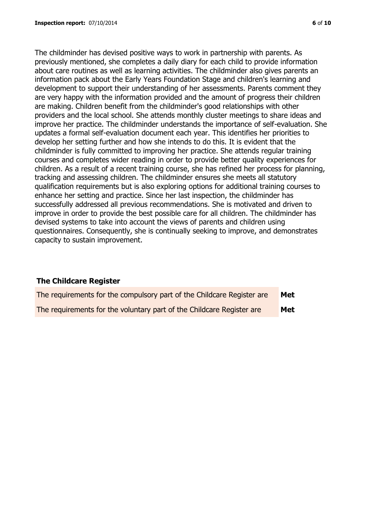The childminder has devised positive ways to work in partnership with parents. As previously mentioned, she completes a daily diary for each child to provide information about care routines as well as learning activities. The childminder also gives parents an information pack about the Early Years Foundation Stage and children's learning and development to support their understanding of her assessments. Parents comment they are very happy with the information provided and the amount of progress their children are making. Children benefit from the childminder's good relationships with other providers and the local school. She attends monthly cluster meetings to share ideas and improve her practice. The childminder understands the importance of self-evaluation. She updates a formal self-evaluation document each year. This identifies her priorities to develop her setting further and how she intends to do this. It is evident that the childminder is fully committed to improving her practice. She attends regular training courses and completes wider reading in order to provide better quality experiences for children. As a result of a recent training course, she has refined her process for planning, tracking and assessing children. The childminder ensures she meets all statutory qualification requirements but is also exploring options for additional training courses to enhance her setting and practice. Since her last inspection, the childminder has successfully addressed all previous recommendations. She is motivated and driven to improve in order to provide the best possible care for all children. The childminder has devised systems to take into account the views of parents and children using questionnaires. Consequently, she is continually seeking to improve, and demonstrates capacity to sustain improvement.

#### **The Childcare Register**

| The requirements for the compulsory part of the Childcare Register are | Met        |
|------------------------------------------------------------------------|------------|
| The requirements for the voluntary part of the Childcare Register are  | <b>Met</b> |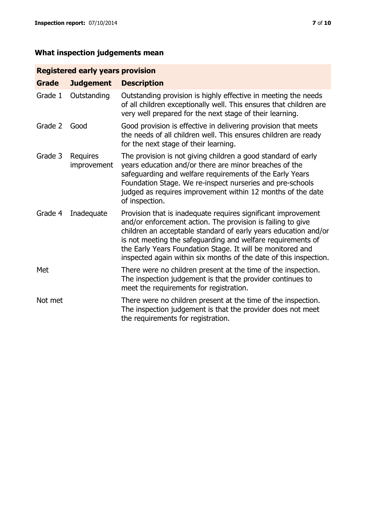# **Registered early years provision**

| <b>Grade</b> | <b>Judgement</b>               | <b>Description</b>                                                                                                                                                                                                                                                                                                                                                                                |
|--------------|--------------------------------|---------------------------------------------------------------------------------------------------------------------------------------------------------------------------------------------------------------------------------------------------------------------------------------------------------------------------------------------------------------------------------------------------|
| Grade 1      | Outstanding                    | Outstanding provision is highly effective in meeting the needs<br>of all children exceptionally well. This ensures that children are<br>very well prepared for the next stage of their learning.                                                                                                                                                                                                  |
| Grade 2      | Good                           | Good provision is effective in delivering provision that meets<br>the needs of all children well. This ensures children are ready<br>for the next stage of their learning.                                                                                                                                                                                                                        |
| Grade 3      | <b>Requires</b><br>improvement | The provision is not giving children a good standard of early<br>years education and/or there are minor breaches of the<br>safeguarding and welfare requirements of the Early Years<br>Foundation Stage. We re-inspect nurseries and pre-schools<br>judged as requires improvement within 12 months of the date<br>of inspection.                                                                 |
| Grade 4      | Inadequate                     | Provision that is inadequate requires significant improvement<br>and/or enforcement action. The provision is failing to give<br>children an acceptable standard of early years education and/or<br>is not meeting the safeguarding and welfare requirements of<br>the Early Years Foundation Stage. It will be monitored and<br>inspected again within six months of the date of this inspection. |
| Met          |                                | There were no children present at the time of the inspection.<br>The inspection judgement is that the provider continues to<br>meet the requirements for registration.                                                                                                                                                                                                                            |
| Not met      |                                | There were no children present at the time of the inspection.<br>The inspection judgement is that the provider does not meet<br>the requirements for registration.                                                                                                                                                                                                                                |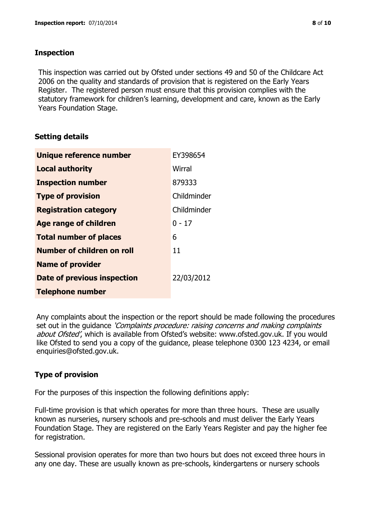## **Inspection**

This inspection was carried out by Ofsted under sections 49 and 50 of the Childcare Act 2006 on the quality and standards of provision that is registered on the Early Years Register. The registered person must ensure that this provision complies with the statutory framework for children's learning, development and care, known as the Early Years Foundation Stage.

# **Setting details**

| Unique reference number       | EY398654    |
|-------------------------------|-------------|
| <b>Local authority</b>        | Wirral      |
| <b>Inspection number</b>      | 879333      |
| <b>Type of provision</b>      | Childminder |
| <b>Registration category</b>  | Childminder |
| <b>Age range of children</b>  | $0 - 17$    |
| <b>Total number of places</b> | 6           |
| Number of children on roll    | 11          |
| <b>Name of provider</b>       |             |
| Date of previous inspection   | 22/03/2012  |
| <b>Telephone number</b>       |             |

Any complaints about the inspection or the report should be made following the procedures set out in the guidance *'Complaints procedure: raising concerns and making complaints* about Ofsted', which is available from Ofsted's website: www.ofsted.gov.uk. If you would like Ofsted to send you a copy of the guidance, please telephone 0300 123 4234, or email enquiries@ofsted.gov.uk.

# **Type of provision**

For the purposes of this inspection the following definitions apply:

Full-time provision is that which operates for more than three hours. These are usually known as nurseries, nursery schools and pre-schools and must deliver the Early Years Foundation Stage. They are registered on the Early Years Register and pay the higher fee for registration.

Sessional provision operates for more than two hours but does not exceed three hours in any one day. These are usually known as pre-schools, kindergartens or nursery schools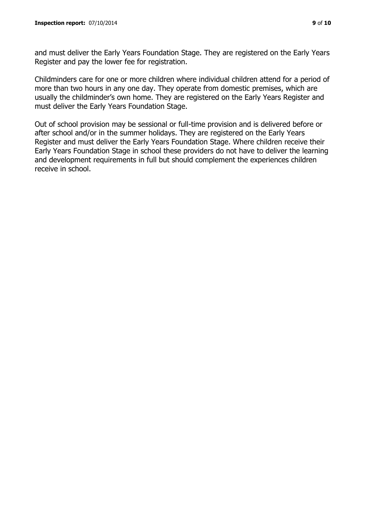and must deliver the Early Years Foundation Stage. They are registered on the Early Years Register and pay the lower fee for registration.

Childminders care for one or more children where individual children attend for a period of more than two hours in any one day. They operate from domestic premises, which are usually the childminder's own home. They are registered on the Early Years Register and must deliver the Early Years Foundation Stage.

Out of school provision may be sessional or full-time provision and is delivered before or after school and/or in the summer holidays. They are registered on the Early Years Register and must deliver the Early Years Foundation Stage. Where children receive their Early Years Foundation Stage in school these providers do not have to deliver the learning and development requirements in full but should complement the experiences children receive in school.